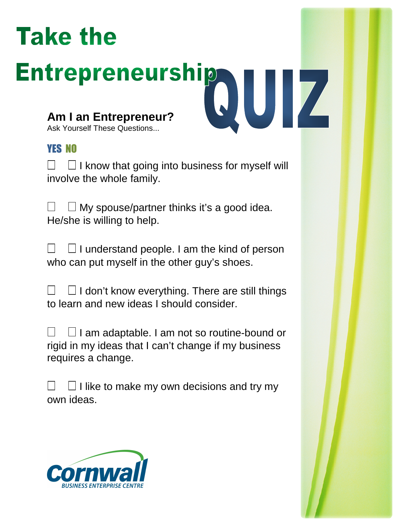## **Take the**

# **Entrepreneurship** UZ

**Am I an Entrepreneur?** Ask Yourself These Questions...

## YES NO

 I know that going into business for myself will involve the whole family.

 My spouse/partner thinks it's a good idea. He/she is willing to help.

 I understand people. I am the kind of person who can put myself in the other guy's shoes.

 I don't know everything. There are still things to learn and new ideas I should consider.

 I am adaptable. I am not so routine-bound or rigid in my ideas that I can't change if my business requires a change.

 I like to make my own decisions and try my own ideas.

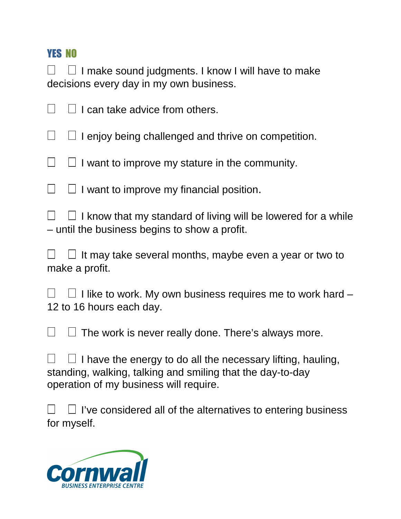I make sound judgments. I know I will have to make decisions every day in my own business.

**Lcan take advice from others.** 

 I enjoy being challenged and thrive on competition.

I want to improve my stature in the community.

**I** want to improve my financial position.

 I know that my standard of living will be lowered for a while – until the business begins to show a profit.

 It may take several months, maybe even a year or two to make a profit.

 I like to work. My own business requires me to work hard – 12 to 16 hours each day.

The work is never really done. There's always more.

 I have the energy to do all the necessary lifting, hauling, standing, walking, talking and smiling that the day-to-day operation of my business will require.

 I've considered all of the alternatives to entering business for myself.

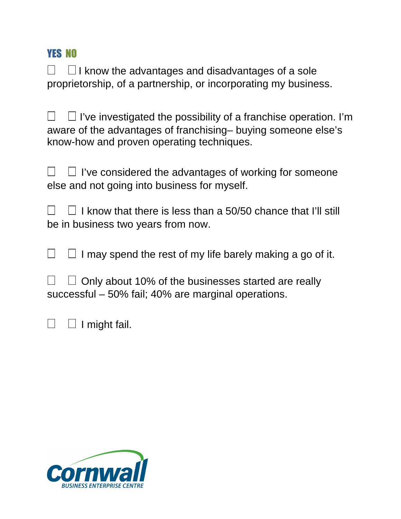I know the advantages and disadvantages of a sole proprietorship, of a partnership, or incorporating my business.

I've investigated the possibility of a franchise operation. I'm aware of the advantages of franchising– buying someone else's know-how and proven operating techniques.

I've considered the advantages of working for someone else and not going into business for myself.

 I know that there is less than a 50/50 chance that I'll still be in business two years from now.

I may spend the rest of my life barely making a go of it.

 Only about 10% of the businesses started are really successful – 50% fail; 40% are marginal operations.

 I might fail.

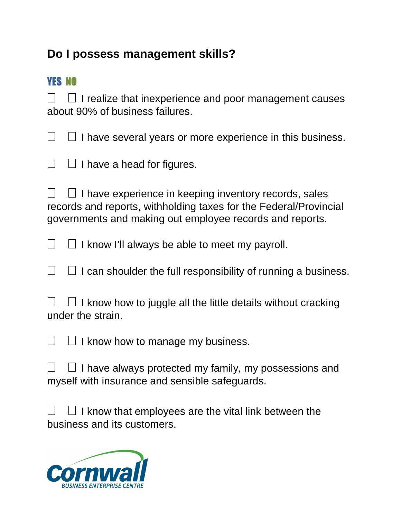## **Do I possess management skills?**

## YES NO

 I realize that inexperience and poor management causes about 90% of business failures.

 I have several years or more experience in this business.

 I have a head for figures.

 I have experience in keeping inventory records, sales records and reports, withholding taxes for the Federal/Provincial governments and making out employee records and reports.

 I know I'll always be able to meet my payroll.

I can shoulder the full responsibility of running a business.

 I know how to juggle all the little details without cracking under the strain.

*I* know how to manage my business.

 I have always protected my family, my possessions and myself with insurance and sensible safeguards.

I know that employees are the vital link between the business and its customers.

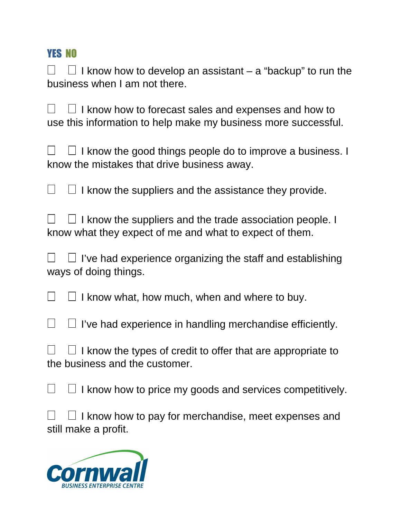I know how to develop an assistant – a "backup" to run the business when I am not there.

I know how to forecast sales and expenses and how to use this information to help make my business more successful.

I know the good things people do to improve a business. I know the mistakes that drive business away.

 I know the suppliers and the assistance they provide.

 I know the suppliers and the trade association people. I know what they expect of me and what to expect of them.

I've had experience organizing the staff and establishing ways of doing things.

I know what, how much, when and where to buy.

 I've had experience in handling merchandise efficiently.

 I know the types of credit to offer that are appropriate to the business and the customer.

 I know how to price my goods and services competitively.

I know how to pay for merchandise, meet expenses and still make a profit.

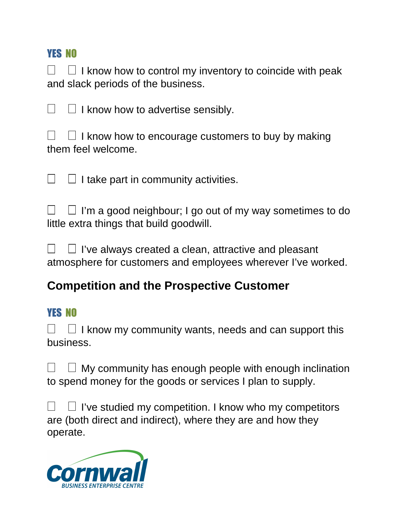I know how to control my inventory to coincide with peak and slack periods of the business.

*I* know how to advertise sensibly.

 I know how to encourage customers to buy by making them feel welcome.

 I take part in community activities.

I'm a good neighbour; I go out of my way sometimes to do little extra things that build goodwill.

I've always created a clean, attractive and pleasant atmosphere for customers and employees wherever I've worked.

## **Competition and the Prospective Customer**

## **YES NO**

 I know my community wants, needs and can support this business.

 My community has enough people with enough inclination to spend money for the goods or services I plan to supply.

I've studied my competition. I know who my competitors are (both direct and indirect), where they are and how they operate.

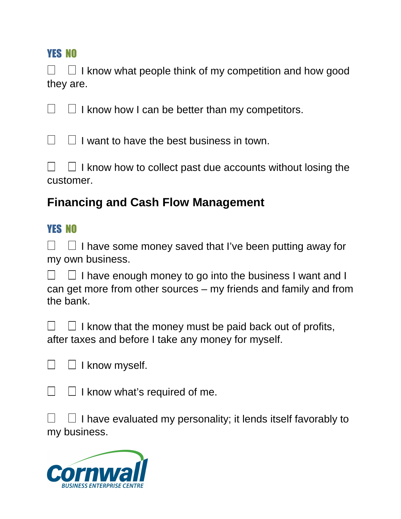I know what people think of my competition and how good they are.

I know how I can be better than my competitors.

I want to have the best business in town.

I know how to collect past due accounts without losing the customer.

## **Financing and Cash Flow Management**

## YES NO

 I have some money saved that I've been putting away for my own business.

 I have enough money to go into the business I want and I can get more from other sources – my friends and family and from the bank.

 I know that the money must be paid back out of profits, after taxes and before I take any money for myself.

 I know myself.

 I know what's required of me.

 I have evaluated my personality; it lends itself favorably to my business.

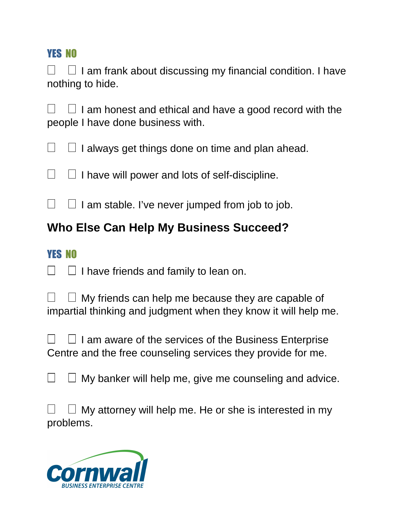I am frank about discussing my financial condition. I have nothing to hide.

I am honest and ethical and have a good record with the people I have done business with.

 I always get things done on time and plan ahead.

 I have will power and lots of self-discipline.

I am stable. I've never jumped from job to job.

## **Who Else Can Help My Business Succeed?**

## YES NO

 I have friends and family to lean on.

 My friends can help me because they are capable of impartial thinking and judgment when they know it will help me.

 I am aware of the services of the Business Enterprise Centre and the free counseling services they provide for me.

 My banker will help me, give me counseling and advice.

 My attorney will help me. He or she is interested in my problems.